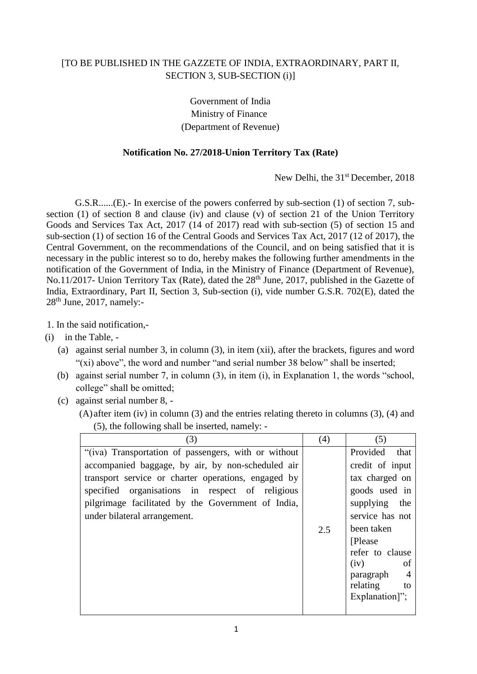## [TO BE PUBLISHED IN THE GAZZETE OF INDIA, EXTRAORDINARY, PART II, SECTION 3, SUB-SECTION (i)]

Government of India Ministry of Finance (Department of Revenue)

## **Notification No. 27/2018-Union Territory Tax (Rate)**

New Delhi, the 31<sup>st</sup> December, 2018

G.S.R......(E).- In exercise of the powers conferred by sub-section (1) of section 7, subsection (1) of section 8 and clause (iv) and clause (v) of section 21 of the Union Territory Goods and Services Tax Act, 2017 (14 of 2017) read with sub-section (5) of section 15 and sub-section (1) of section 16 of the Central Goods and Services Tax Act, 2017 (12 of 2017), the Central Government, on the recommendations of the Council, and on being satisfied that it is necessary in the public interest so to do, hereby makes the following further amendments in the notification of the Government of India, in the Ministry of Finance (Department of Revenue), No.11/2017- Union Territory Tax (Rate), dated the 28<sup>th</sup> June, 2017, published in the Gazette of India, Extraordinary, Part II, Section 3, Sub-section (i), vide number G.S.R. 702(E), dated the  $28<sup>th</sup>$  June, 2017, namely:-

1. In the said notification,-

- (i) in the Table,
	- (a) against serial number 3, in column (3), in item (xii), after the brackets, figures and word "(xi) above", the word and number "and serial number 38 below" shall be inserted;
	- (b) against serial number 7, in column (3), in item (i), in Explanation 1, the words "school, college" shall be omitted;
	- (c) against serial number 8,
		- (A) after item (iv) in column (3) and the entries relating thereto in columns (3), (4) and (5), the following shall be inserted, namely: -

| (3)                                                  | (4) | (5)                         |
|------------------------------------------------------|-----|-----------------------------|
| "(iva) Transportation of passengers, with or without |     | Provided<br>that            |
| accompanied baggage, by air, by non-scheduled air    |     | credit of input             |
| transport service or charter operations, engaged by  |     | tax charged on              |
| specified organisations in respect of religious      |     | goods used in               |
| pilgrimage facilitated by the Government of India,   |     | supplying the               |
| under bilateral arrangement.                         |     | service has not             |
|                                                      | 2.5 | been taken                  |
|                                                      |     | [Please]                    |
|                                                      |     | refer to clause             |
|                                                      |     | (iv)<br>of                  |
|                                                      |     | $\overline{4}$<br>paragraph |
|                                                      |     | relating<br>to              |
|                                                      |     | Explanation]";              |
|                                                      |     |                             |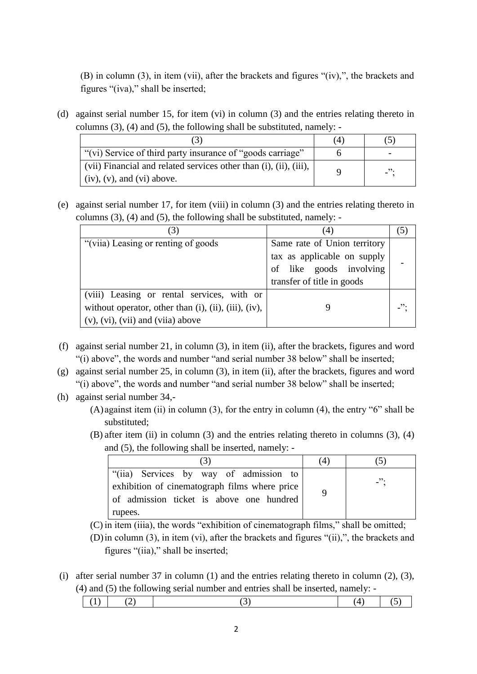(B) in column (3), in item (vii), after the brackets and figures "(iv),", the brackets and figures "(iva)," shall be inserted;

(d) against serial number 15, for item (vi) in column (3) and the entries relating thereto in columns (3), (4) and (5), the following shall be substituted, namely: -

|                                                                                                        | 4 |                          |
|--------------------------------------------------------------------------------------------------------|---|--------------------------|
| "(vi) Service of third party insurance of "goods carriage"                                             |   |                          |
| (vii) Financial and related services other than (i), (ii), (iii),<br>$\int$ (iv), (v), and (vi) above. |   | $\overline{\phantom{a}}$ |

(e) against serial number 17, for item (viii) in column (3) and the entries relating thereto in columns (3), (4) and (5), the following shall be substituted, namely: -

| (3)                                                                                                                                              | (4)                                                                                                                  | (5)             |
|--------------------------------------------------------------------------------------------------------------------------------------------------|----------------------------------------------------------------------------------------------------------------------|-----------------|
| "(viia) Leasing or renting of goods"                                                                                                             | Same rate of Union territory<br>tax as applicable on supply<br>of like goods involving<br>transfer of title in goods |                 |
| (viii) Leasing or rental services, with or<br>without operator, other than (i), (ii), (iii), (iv),<br>$(v)$ , $(vi)$ , $(vii)$ and $(vii)$ above |                                                                                                                      | $\cdot$ $\cdot$ |

- (f) against serial number 21, in column (3), in item (ii), after the brackets, figures and word "(i) above", the words and number "and serial number 38 below" shall be inserted;
- (g) against serial number 25, in column (3), in item (ii), after the brackets, figures and word "(i) above", the words and number "and serial number 38 below" shall be inserted;
- (h) against serial number 34,-
	- $(A)$  against item (ii) in column (3), for the entry in column (4), the entry "6" shall be substituted;
	- (B) after item (ii) in column (3) and the entries relating thereto in columns (3), (4) and (5), the following shall be inserted, namely: -

|                                                                                                                                                | (4) |            |
|------------------------------------------------------------------------------------------------------------------------------------------------|-----|------------|
| "(iia) Services by way of admission to<br>exhibition of cinematograph films where price<br>of admission ticket is above one hundred<br>rupees. |     | $\cdot$ ": |

(C) in item (iiia), the words "exhibition of cinematograph films," shall be omitted;

- (D)in column (3), in item (vi), after the brackets and figures "(ii),", the brackets and figures "(iia)," shall be inserted;
- (i) after serial number 37 in column (1) and the entries relating thereto in column (2), (3), (4) and (5) the following serial number and entries shall be inserted, namely: -

|--|